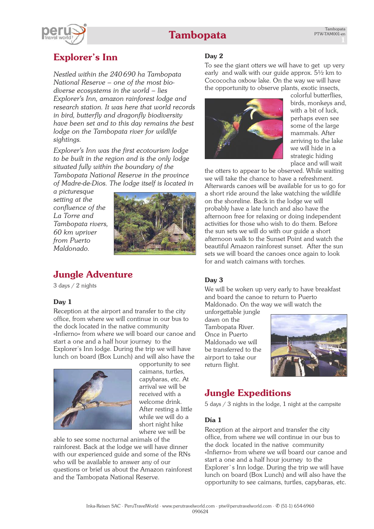# **Tambopata**



# **Explorer's Inn**

*Nestled within the 240690 ha Tambopata National Reserve – one of the most biodiverse ecosystems in the world – lies Explorer's Inn, amazon rainforest lodge and research station. It was here that world records in bird, butterfly and dragonfly biodiversity have been set and to this day remains the best lodge on the Tambopata river for wildlife sightings.*

*Explorer's Inn was the first ecotourism lodge to be built in the region and is the only lodge situated fully within the boundary of the Tambopata National Reserve in the province of Madre-de-Dios. The lodge itself is located in*

*a picturesque setting at the confluence of the La Torre and Tambopata rivers, 60 km upriver from Puerto Maldonado.*



## **Jungle Adventure**

3 days / 2 nights

### **Day 1**

Reception at the airport and transfer to the city office, from where we will continue in our bus to the dock located in the native community «Infierno» from where we will board our canoe and start a one and a half hour journey to the Explorer's Inn lodge. During the trip we will have lunch on board (Box Lunch) and will also have the



opportunity to see caimans, turtles, capybaras, etc. At arrival we will be received with a welcome drink. After resting a little while we will do a short night hike where we will be

able to see some nocturnal animals of the rainforest. Back at the lodge we will have dinner with our experienced guide and some of the RNs who will be available to answer any of our questions or brief us about the Amazon rainforest and the Tambopata National Reserve.

### **Day 2**

To see the giant otters we will have to get up very early and walk with our guide approx. 5½ km to Cocococha oxbow lake. On the way we will have the opportunity to observe plants, exotic insects,



colorful butterflies, birds, monkeys and, with a bit of luck, perhaps even see some of the large mammals. After arriving to the lake we will hide in a strategic hiding place and will wait

the otters to appear to be observed. While waiting we will take the chance to have a refreshment. Afterwards canoes will be available for us to go for a short ride around the lake watching the wildlife on the shoreline. Back in the lodge we will probably have a late lunch and also have the afternoon free for relaxing or doing independent activities for those who wish to do them. Before the sun sets we will do with our guide a short afternoon walk to the Sunset Point and watch the beautiful Amazon rainforest sunset. After the sun sets we will board the canoes once again to look for and watch caimans with torches.

### **Day 3**

We will be woken up very early to have breakfast and board the canoe to return to Puerto Maldonado. On the way we will watch the

unforgettable jungle dawn on the Tambopata River. Once in Puerto Maldonado we will be transferred to the airport to take our return flight.



## **Jungle Expeditions**

5 days / 3 nights in the lodge, 1 night at the campsite

#### **Día 1**

Reception at the airport and transfer the city office, from where we will continue in our bus to the dock located in the native community «Infierno» from where we will board our canoe and start a one and a half hour journey to the Explorer`s Inn lodge. During the trip we will have lunch on board (Box Lunch) and will also have the opportunity to see caimans, turtles, capybaras, etc.